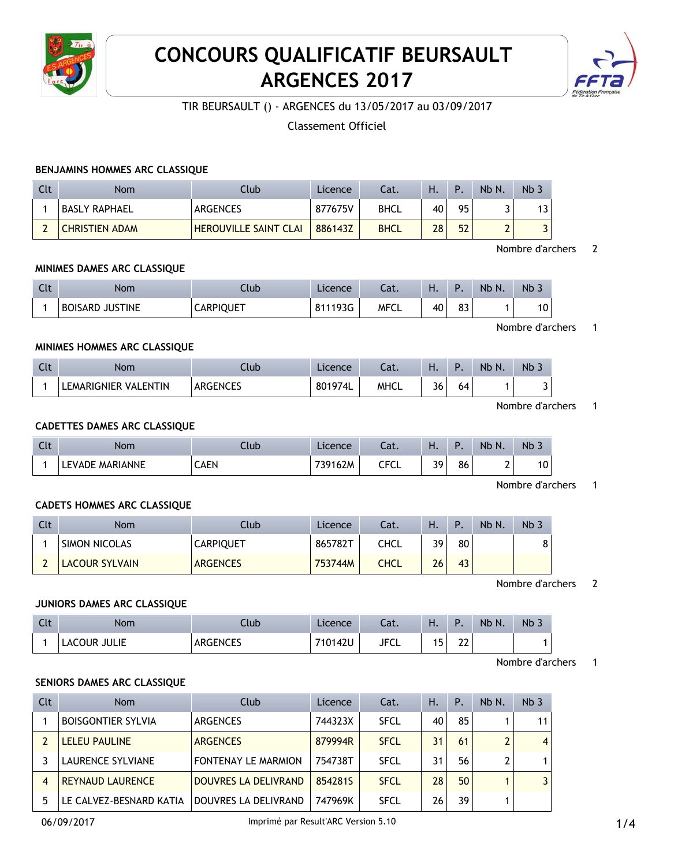

# **CONCOURS QUALIFICATIF BEURSAULT ARGENCES 2017**



TIR BEURSAULT () - ARGENCES du 13/05/2017 au 03/09/2017

Classement Officiel

## **BENJAMINS HOMMES ARC CLASSIQUE**

| Clt | <b>Nom</b>            | Club                         | Licence | Cat.        | Н. | P  | Nb N. | Nb |
|-----|-----------------------|------------------------------|---------|-------------|----|----|-------|----|
|     | BASLY RAPHAEL !       | <b>ARGENCES</b>              | 877675V | <b>BHCL</b> | 40 | 95 |       | 13 |
|     | <b>CHRISTIEN ADAM</b> | <b>HEROUVILLE SAINT CLAI</b> | 886143Z | <b>BHCL</b> | 28 | 52 | -     |    |

#### Nombre d'archers 2

### **MINIMES DAMES ARC CLASSIQUE**

| $\sim$<br>นเ | Nom                    | Ilub             | Licence | $\sim$<br>.ac. | .  |          | Nb N. | <b>Nb</b><br>$\sim$<br><b>J</b> |
|--------------|------------------------|------------------|---------|----------------|----|----------|-------|---------------------------------|
|              | <b>BOISARD JUSTINE</b> | <b>CARPIQUET</b> | 811193G | MFCL           | 40 | ດາ<br>ია |       | טו                              |

Nombre d'archers 1

# **MINIMES HOMMES ARC CLASSIQUE**

| Clt | <b>Nom</b>           | Club            | Licence | - 51<br>cal. | ш<br>п. |    | Nb N. | Nb <sub>&gt;</sub> |
|-----|----------------------|-----------------|---------|--------------|---------|----|-------|--------------------|
|     | LEMARIGNIER VALENTIN | <b>ARGENCES</b> | 801974L | <b>MHCL</b>  | 36      | 64 |       |                    |

Nombre d'archers 1

# **CADETTES DAMES ARC CLASSIQUE**

| $\sim$ | Nom                             | Club        | Licence | $\sim$<br>-al.  | . .                  | D  | Nb N. | NB. |
|--------|---------------------------------|-------------|---------|-----------------|----------------------|----|-------|-----|
|        | <b>MARIANNE</b><br>.EVADE.<br>ᄔ | <b>CAEN</b> | 162M    | CEC.<br>◡∟<br>ີ | 30 <sub>1</sub><br>ັ | 86 | ∸     | ັບ  |

Nombre d'archers 1

#### **CADETS HOMMES ARC CLASSIQUE**

| Clt | <b>Nom</b>            | Club             | <b>Licence</b> | Cat.        | н. |    | Nb N. | Nb |
|-----|-----------------------|------------------|----------------|-------------|----|----|-------|----|
|     | <b>SIMON NICOLAS</b>  | <b>CARPIQUET</b> | 865782T        | CHCL        | ٦q | 80 |       | 8  |
|     | <b>LACOUR SYLVAIN</b> | <b>ARGENCES</b>  | 753744M        | <b>CHCL</b> | 26 | 43 |       |    |

Nombre d'archers 2

#### **JUNIORS DAMES ARC CLASSIQUE**

| Clt | <b>Nom</b>           | Llub.                  | rence. | Cat.        | . .      | D                  | Nb N. | Nb 3 |
|-----|----------------------|------------------------|--------|-------------|----------|--------------------|-------|------|
|     | iulie<br>או ור<br>Δ( | 1. FNI FS<br>ANUL NULJ | 142U   | <b>JFCL</b> | -<br>. J | $\sim$<br>∠∠<br>__ |       |      |

Nombre d'archers 1

# **SENIORS DAMES ARC CLASSIQUE**

| Clt | <b>Nom</b>                | Club                        | Licence | Cat.        | Η. | Ρ. | Nb N. | Nb <sub>3</sub> |
|-----|---------------------------|-----------------------------|---------|-------------|----|----|-------|-----------------|
|     | <b>BOISGONTIER SYLVIA</b> | ARGENCES                    | 744323X | <b>SFCL</b> | 40 | 85 |       | 11              |
|     | <b>LELEU PAULINE</b>      | <b>ARGENCES</b>             | 879994R | <b>SFCL</b> | 31 | 61 |       | 4               |
|     | LAURENCE SYLVIANE         | <b>FONTENAY LE MARMION</b>  | 754738T | <b>SFCL</b> | 31 | 56 |       |                 |
| 4   | <b>REYNAUD LAURENCE</b>   | <b>DOUVRES LA DELIVRAND</b> | 8542815 | <b>SFCL</b> | 28 | 50 |       |                 |
|     | LE CALVEZ-BESNARD KATIA   | DOUVRES LA DELIVRAND        | 747969K | <b>SFCL</b> | 26 | 39 |       |                 |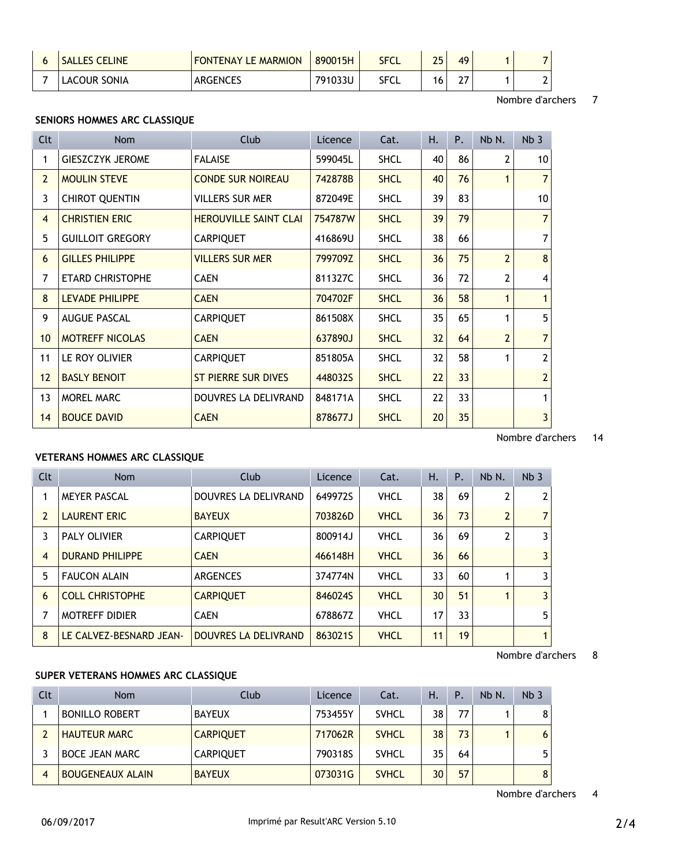| <b>SALLES CELINE</b> | <b>FONTENAY LE MARMION</b> | 890015H | SFCL | 25 | 49        |  |
|----------------------|----------------------------|---------|------|----|-----------|--|
| <b>LACOUR SONIA</b>  | ARGENCES                   | 791033U | SFCL | 6  | ~-<br>, , |  |

#### Nombre d'archers 7

# **SENIORS HOMMES ARC CLASSIQUE**

| <b>Clt</b>      | Nom                     | Club                         | Licence | Cat.        | Η. | Ρ. | Nb N.          | Nb <sub>3</sub> |
|-----------------|-------------------------|------------------------------|---------|-------------|----|----|----------------|-----------------|
| 1               | <b>GIESZCZYK JEROME</b> | <b>FALAISE</b>               | 599045L | <b>SHCL</b> | 40 | 86 | 2              | 10              |
| $\overline{2}$  | <b>MOULIN STEVE</b>     | <b>CONDE SUR NOIREAU</b>     | 742878B | <b>SHCL</b> | 40 | 76 | 1              | $\overline{7}$  |
| 3               | <b>CHIROT QUENTIN</b>   | <b>VILLERS SUR MER</b>       | 872049E | <b>SHCL</b> | 39 | 83 |                | 10              |
| $\overline{4}$  | <b>CHRISTIEN ERIC</b>   | <b>HEROUVILLE SAINT CLAI</b> | 754787W | <b>SHCL</b> | 39 | 79 |                | $\overline{7}$  |
| 5               | <b>GUILLOIT GREGORY</b> | <b>CARPIQUET</b>             | 416869U | <b>SHCL</b> | 38 | 66 |                | $\overline{7}$  |
| 6               | <b>GILLES PHILIPPE</b>  | <b>VILLERS SUR MER</b>       | 799709Z | <b>SHCL</b> | 36 | 75 | $\overline{2}$ | 8               |
| 7               | <b>ETARD CHRISTOPHE</b> | <b>CAEN</b>                  | 811327C | <b>SHCL</b> | 36 | 72 | 2              | 4               |
| 8               | <b>LEVADE PHILIPPE</b>  | <b>CAEN</b>                  | 704702F | <b>SHCL</b> | 36 | 58 | 1              | $\mathbf{1}$    |
| 9               | <b>AUGUE PASCAL</b>     | <b>CARPIQUET</b>             | 861508X | <b>SHCL</b> | 35 | 65 | $\mathbf{1}$   | 5               |
| 10 <sup>°</sup> | <b>MOTREFF NICOLAS</b>  | <b>CAEN</b>                  | 637890J | <b>SHCL</b> | 32 | 64 | $\overline{2}$ | $\overline{7}$  |
| 11              | LE ROY OLIVIER          | <b>CARPIQUET</b>             | 851805A | <b>SHCL</b> | 32 | 58 | 1              | $\overline{2}$  |
| 12              | <b>BASLY BENOIT</b>     | <b>ST PIERRE SUR DIVES</b>   | 448032S | <b>SHCL</b> | 22 | 33 |                | $\overline{2}$  |
| 13              | <b>MOREL MARC</b>       | DOUVRES LA DELIVRAND         | 848171A | <b>SHCL</b> | 22 | 33 |                | 1               |
| 14              | <b>BOUCE DAVID</b>      | <b>CAEN</b>                  | 878677J | <b>SHCL</b> | 20 | 35 |                | $\overline{3}$  |

# Nombre d'archers 14

# **VETERANS HOMMES ARC CLASSIQUE**

| Clt            | <b>Nom</b>              | Club                        | Licence | Cat.        | Η. | P. | Nb N.          | Nb <sub>3</sub> |
|----------------|-------------------------|-----------------------------|---------|-------------|----|----|----------------|-----------------|
|                | <b>MEYER PASCAL</b>     | <b>DOUVRES LA DELIVRAND</b> | 649972S | <b>VHCL</b> | 38 | 69 | $\overline{2}$ | 2               |
| $\overline{2}$ | <b>LAURENT ERIC</b>     | <b>BAYEUX</b>               | 703826D | <b>VHCL</b> | 36 | 73 | $\overline{2}$ | $\overline{7}$  |
| 3              | PALY OLIVIER            | <b>CARPIQUET</b>            | 800914J | <b>VHCL</b> | 36 | 69 | $\overline{2}$ | 3               |
| 4              | <b>DURAND PHILIPPE</b>  | <b>CAEN</b>                 | 466148H | <b>VHCL</b> | 36 | 66 |                | 3               |
| 5              | <b>FAUCON ALAIN</b>     | <b>ARGENCES</b>             | 374774N | <b>VHCL</b> | 33 | 60 | 1              | 3               |
| 6              | <b>COLL CHRISTOPHE</b>  | <b>CARPIQUET</b>            | 846024S | <b>VHCL</b> | 30 | 51 | 1              | $\overline{3}$  |
| 7              | <b>MOTREFF DIDIER</b>   | <b>CAEN</b>                 | 678867Z | <b>VHCL</b> | 17 | 33 |                | 5               |
| 8              | LE CALVEZ-BESNARD JEAN- | <b>DOUVRES LA DELIVRAND</b> | 863021S | <b>VHCL</b> | 11 | 19 |                |                 |

#### Nombre d'archers 8

## **SUPER VETERANS HOMMES ARC CLASSIQUE**

| Clt            | <b>Nom</b>              | Club             | Licence | Cat.         | Η. | Ρ. | Nb N. | Nb <sub>3</sub> |
|----------------|-------------------------|------------------|---------|--------------|----|----|-------|-----------------|
|                | <b>BONILLO ROBERT</b>   | <b>BAYEUX</b>    | 753455Y | <b>SVHCL</b> | 38 | 77 |       |                 |
|                | <b>HAUTEUR MARC</b>     | <b>CARPIQUET</b> | 717062R | <b>SVHCL</b> | 38 | 73 |       | 6               |
|                | <b>BOCE JEAN MARC</b>   | <b>CARPIQUET</b> | 790318S | <b>SVHCL</b> | 35 | 64 |       |                 |
| $\overline{4}$ | <b>BOUGENEAUX ALAIN</b> | <b>BAYEUX</b>    | 073031G | <b>SVHCL</b> | 30 | 57 |       | 8               |

Nombre d'archers 4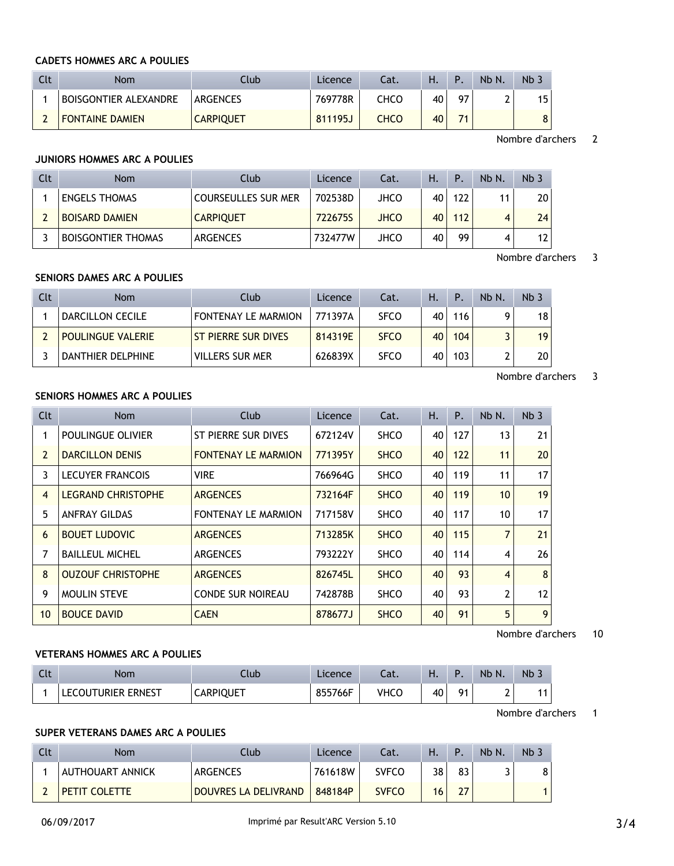#### **CADETS HOMMES ARC A POULIES**

| Clt | <b>Nom</b>             | Ilub             | Licence | Cat.        | Η. | Þ  | Nb N. | Nb <sub>3</sub> |
|-----|------------------------|------------------|---------|-------------|----|----|-------|-----------------|
|     | BOISGONTIER ALEXANDRE  | ARGENCES         | 769778R | CHCO        | 40 | 07 |       | 15              |
|     | <b>FONTAINE DAMIEN</b> | <b>CARPIQUET</b> | 811195J | <b>CHCO</b> | 40 | 74 |       | 8               |

Nombre d'archers 2

## **JUNIORS HOMMES ARC A POULIES**

| Clt | <b>Nom</b>                | Club                       | Licence | Cat.        | Ή. | Þ   | Nb N. | Nb <sub>3</sub> |
|-----|---------------------------|----------------------------|---------|-------------|----|-----|-------|-----------------|
|     | <b>ENGELS THOMAS</b>      | <b>COURSEULLES SUR MER</b> | 702538D | JHCO        | 40 | 122 | 11    | 20              |
|     | <b>BOISARD DAMIEN</b>     | <b>CARPIQUET</b>           | 722675S | <b>JHCO</b> | 40 | 112 |       | 24              |
|     | <b>BOISGONTIER THOMAS</b> | <b>ARGENCES</b>            | 732477W | JHCO        | 40 | 99  |       | 12              |

Nombre d'archers 3

# **SENIORS DAMES ARC A POULIES**

| Clt | Nom                      | Club                       | Licence | Cat.        | Н. | Ρ.  | $Nb N$ . | Nb <sub>3</sub> |
|-----|--------------------------|----------------------------|---------|-------------|----|-----|----------|-----------------|
|     | DARCILLON CECILE         | <b>FONTENAY LE MARMION</b> | 771397A | <b>SFCO</b> | 40 | 116 |          | 18              |
|     | <b>POULINGUE VALERIE</b> | <b>ST PIERRE SUR DIVES</b> | 814319E | <b>SFCO</b> | 40 | 104 |          | 19              |
|     | DANTHIER DELPHINE        | <b>VILLERS SUR MER</b>     | 626839X | <b>SFCO</b> | 40 | 103 |          | 20              |

#### Nombre d'archers 3

# **SENIORS HOMMES ARC A POULIES**

| Clt            | <b>Nom</b>                | Club                       | Licence | Cat.        | Н. | P.  | Nb N.          | Nb <sub>3</sub> |
|----------------|---------------------------|----------------------------|---------|-------------|----|-----|----------------|-----------------|
| 1              | POULINGUE OLIVIER         | ST PIERRE SUR DIVES        | 672124V | <b>SHCO</b> | 40 | 127 | 13             | 21 <sup>1</sup> |
| $\overline{2}$ | <b>DARCILLON DENIS</b>    | <b>FONTENAY LE MARMION</b> | 771395Y | <b>SHCO</b> | 40 | 122 | 11             | 20 <sup>1</sup> |
| 3              | <b>LECUYER FRANCOIS</b>   | <b>VIRE</b>                | 766964G | <b>SHCO</b> | 40 | 119 | 11             | 17 <sup>1</sup> |
| $\overline{4}$ | <b>LEGRAND CHRISTOPHE</b> | <b>ARGENCES</b>            | 732164F | <b>SHCO</b> | 40 | 119 | 10             | 19              |
| 5              | <b>ANFRAY GILDAS</b>      | <b>FONTENAY LE MARMION</b> | 717158V | <b>SHCO</b> | 40 | 117 | 10             | 17 <sup>1</sup> |
| 6              | <b>BOUET LUDOVIC</b>      | <b>ARGENCES</b>            | 713285K | <b>SHCO</b> | 40 | 115 | $\overline{7}$ | 21              |
| 7              | <b>BAILLEUL MICHEL</b>    | <b>ARGENCES</b>            | 793222Y | <b>SHCO</b> | 40 | 114 | $\overline{4}$ | 26 <sup>2</sup> |
| 8              | <b>OUZOUF CHRISTOPHE</b>  | <b>ARGENCES</b>            | 826745L | <b>SHCO</b> | 40 | 93  | $\overline{4}$ | 8 <sup>1</sup>  |
| 9              | MOULIN STEVE              | <b>CONDE SUR NOIREAU</b>   | 742878B | <b>SHCO</b> | 40 | 93  | $\overline{2}$ | 12              |
| 10             | <b>BOUCE DAVID</b>        | <b>CAEN</b>                | 878677J | <b>SHCO</b> | 40 | 91  | 5              | 9 <sup>1</sup>  |

Nombre d'archers 10

#### **VETERANS HOMMES ARC A POULIES**

| $\sqrt{1}$<br>. | Nom                | Ilub             | Licence | .<br>-al. | п. |                | <b>Nb</b><br>N. | <b>Nb</b> |
|-----------------|--------------------|------------------|---------|-----------|----|----------------|-----------------|-----------|
|                 | LECOUTURIER ERNEST | <b>CARPIQUET</b> | 855766F | VHCC      | 40 | Q <sub>1</sub> | -               | 44        |

Nombre d'archers 1

### **SUPER VETERANS DAMES ARC A POULIES**

| Clt | Nom              | Club                 | Licence | Cat.         | Н. | D  | Nb N. | Nb <sub>3</sub> |
|-----|------------------|----------------------|---------|--------------|----|----|-------|-----------------|
|     | AUTHOUART ANNICK | <b>ARGENCES</b>      | 761618W | <b>SVFCO</b> | 38 | 83 |       | 8               |
|     | PETIT COLETTE    | DOUVRES LA DELIVRAND | 848184P | <b>SVFCO</b> | 16 | 27 |       |                 |